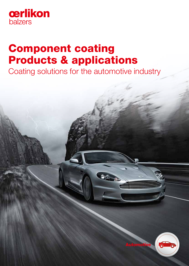

# Component coating Products & applications

Coating solutions for the automotive industry